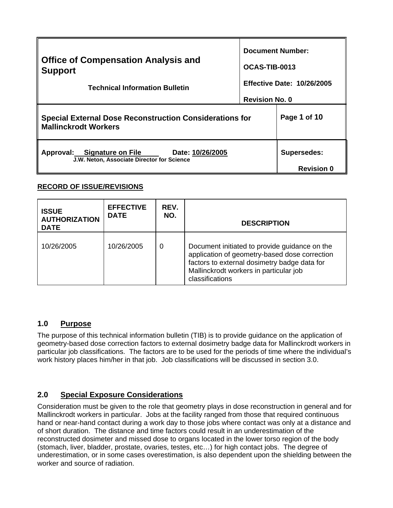| <b>Office of Compensation Analysis and</b><br><b>Support</b><br><b>Technical Information Bulletin</b><br><b>Special External Dose Reconstruction Considerations for</b> | <b>Document Number:</b><br>OCAS-TIB-0013<br><b>Revision No. 0</b> | <b>Effective Date: 10/26/2005</b><br>Page 1 of 10 |
|-------------------------------------------------------------------------------------------------------------------------------------------------------------------------|-------------------------------------------------------------------|---------------------------------------------------|
| <b>Mallinckrodt Workers</b>                                                                                                                                             |                                                                   |                                                   |
| Approval: Signature on File<br>Date: 10/26/2005<br>J.W. Neton, Associate Director for Science                                                                           |                                                                   | <b>Supersedes:</b><br><b>Revision 0</b>           |

## **RECORD OF ISSUE/REVISIONS**

| <b>ISSUE</b><br><b>AUTHORIZATION</b><br><b>DATE</b> | <b>EFFECTIVE</b><br><b>DATE</b> | REV.<br>NO. | <b>DESCRIPTION</b>                                                                                                                                                                                          |
|-----------------------------------------------------|---------------------------------|-------------|-------------------------------------------------------------------------------------------------------------------------------------------------------------------------------------------------------------|
| 10/26/2005                                          | 10/26/2005                      | 0           | Document initiated to provide guidance on the<br>application of geometry-based dose correction<br>factors to external dosimetry badge data for<br>Mallinckrodt workers in particular job<br>classifications |

## **1.0 Purpose**

The purpose of this technical information bulletin (TIB) is to provide guidance on the application of geometry-based dose correction factors to external dosimetry badge data for Mallinckrodt workers in particular job classifications. The factors are to be used for the periods of time where the individual's work history places him/her in that job. Job classifications will be discussed in section 3.0.

## **2.0 Special Exposure Considerations**

Consideration must be given to the role that geometry plays in dose reconstruction in general and for Mallinckrodt workers in particular. Jobs at the facility ranged from those that required continuous hand or near-hand contact during a work day to those jobs where contact was only at a distance and of short duration. The distance and time factors could result in an underestimation of the reconstructed dosimeter and missed dose to organs located in the lower torso region of the body (stomach, liver, bladder, prostate, ovaries, testes, etc…) for high contact jobs. The degree of underestimation, or in some cases overestimation, is also dependent upon the shielding between the worker and source of radiation.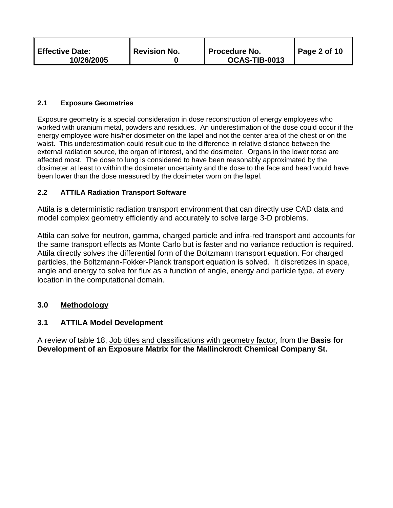| <b>Effective Date:</b><br><b>Revision No.</b><br>10/26/2005 | ∥ Procedure No.<br>OCAS-TIB-0013 | $\vert$ Page 2 of 10 |
|-------------------------------------------------------------|----------------------------------|----------------------|
|-------------------------------------------------------------|----------------------------------|----------------------|

#### **2.1 Exposure Geometries**

 been lower than the dose measured by the dosimeter worn on the lapel. Exposure geometry is a special consideration in dose reconstruction of energy employees who worked with uranium metal, powders and residues. An underestimation of the dose could occur if the energy employee wore his/her dosimeter on the lapel and not the center area of the chest or on the waist. This underestimation could result due to the difference in relative distance between the external radiation source, the organ of interest, and the dosimeter. Organs in the lower torso are affected most. The dose to lung is considered to have been reasonably approximated by the dosimeter at least to within the dosimeter uncertainty and the dose to the face and head would have

#### **2.2 ATTILA Radiation Transport Software**

Attila is a deterministic radiation transport environment that can directly use CAD data and model complex geometry efficiently and accurately to solve large 3-D problems.

Attila can solve for neutron, gamma, charged particle and infra-red transport and accounts for the same transport effects as Monte Carlo but is faster and no variance reduction is required. Attila directly solves the differential form of the Boltzmann transport equation. For charged particles, the Boltzmann-Fokker-Planck transport equation is solved. It discretizes in space, angle and energy to solve for flux as a function of angle, energy and particle type, at every location in the computational domain.

#### **3.0 Methodology**

#### **3.1 ATTILA Model Development**

A review of table 18, Job titles and classifications with geometry factor, from the **Basis for Development of an Exposure Matrix for the Mallinckrodt Chemical Company St.**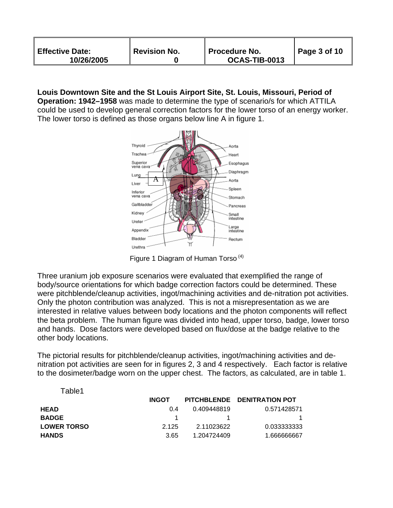| <b>Effective Date:</b><br>10/26/2005 | <b>Revision No.</b> | <b>∥ Procedure No.</b><br>OCAS-TIB-0013 | Page 3 of 10 |
|--------------------------------------|---------------------|-----------------------------------------|--------------|
|--------------------------------------|---------------------|-----------------------------------------|--------------|

## **Louis Downtown Site and the St Louis Airport Site, St. Louis, Missouri, Period of**

**Operation: 1942–1958** was made to determine the type of scenario/s for which ATTILA could be used to develop general correction factors for the lower torso of an energy worker. The lower torso is defined as those organs below line A in figure 1.



Figure 1 Diagram of Human Torso (4)

Three uranium job exposure scenarios were evaluated that exemplified the range of body/source orientations for which badge correction factors could be determined. These were pitchblende/cleanup activities, ingot/machining activities and de-nitration pot activities. Only the photon contribution was analyzed. This is not a misrepresentation as we are interested in relative values between body locations and the photon components will reflect the beta problem. The human figure was divided into head, upper torso, badge, lower torso and hands. Dose factors were developed based on flux/dose at the badge relative to the other body locations.

The pictorial results for pitchblende/cleanup activities, ingot/machining activities and denitration pot activities are seen for in figures 2, 3 and 4 respectively. Each factor is relative to the dosimeter/badge worn on the upper chest. The factors, as calculated, are in table 1.

| Table1             |              |             |                             |
|--------------------|--------------|-------------|-----------------------------|
|                    | <b>INGOT</b> |             | PITCHBLENDE DENITRATION POT |
| <b>HEAD</b>        | 0 4          | 0.409448819 | 0.571428571                 |
| <b>BADGE</b>       |              |             |                             |
| <b>LOWER TORSO</b> | 2 1 2 5      | 2.11023622  | 0.033333333                 |
| <b>HANDS</b>       | 3.65         | 1.204724409 | 1.666666667                 |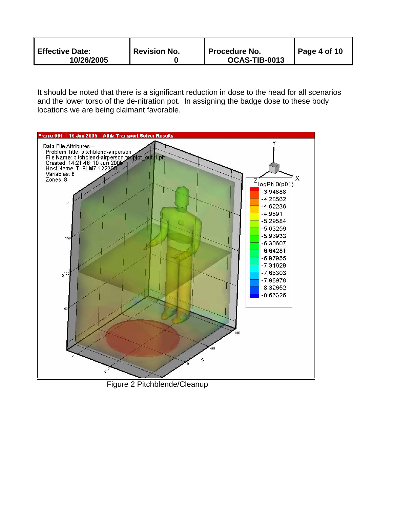| <b>Effective Date:</b><br>10/26/2005 | <b>Revision No.</b> | <b>Procedure No.</b><br>OCAS-TIB-0013 | $\vert$ Page 4 of 10 |
|--------------------------------------|---------------------|---------------------------------------|----------------------|
|--------------------------------------|---------------------|---------------------------------------|----------------------|

It should be noted that there is a significant reduction in dose to the head for all scenarios and the lower torso of the de-nitration pot. In assigning the badge dose to these body locations we are being claimant favorable.



Figure 2 Pitchblende/Cleanup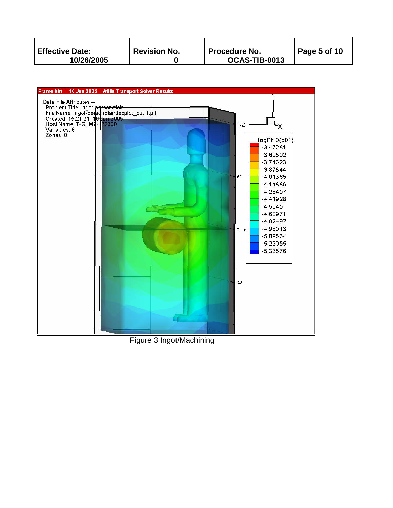| Revision No.<br><b>Effective Date:</b><br>∥ Procedure No.<br>OCAS-TIB-0013<br>10/26/2005 | Page 5 of 10 |
|------------------------------------------------------------------------------------------|--------------|
|------------------------------------------------------------------------------------------|--------------|



Figure 3 Ingot/Machining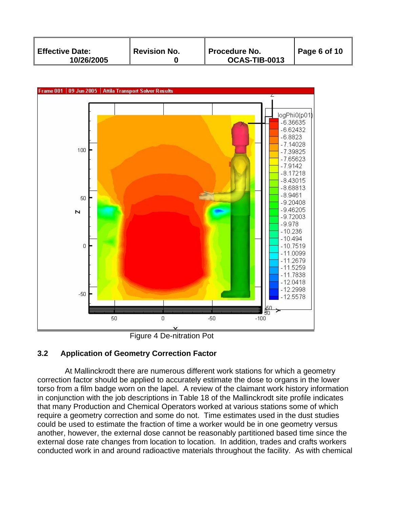| Revision No.<br><b>Effective Date:</b><br>10/26/2005 | <b>Procedure No.</b><br>OCAS-TIB-0013 | Page 6 of 10 |
|------------------------------------------------------|---------------------------------------|--------------|
|------------------------------------------------------|---------------------------------------|--------------|



Figure 4 De-nitration Pot

# **3.2 Application of Geometry Correction Factor**

At Mallinckrodt there are numerous different work stations for which a geometry correction factor should be applied to accurately estimate the dose to organs in the lower torso from a film badge worn on the lapel. A review of the claimant work history information in conjunction with the job descriptions in Table 18 of the Mallinckrodt site profile indicates that many Production and Chemical Operators worked at various stations some of which require a geometry correction and some do not. Time estimates used in the dust studies could be used to estimate the fraction of time a worker would be in one geometry versus another, however, the external dose cannot be reasonably partitioned based time since the external dose rate changes from location to location. In addition, trades and crafts workers conducted work in and around radioactive materials throughout the facility. As with chemical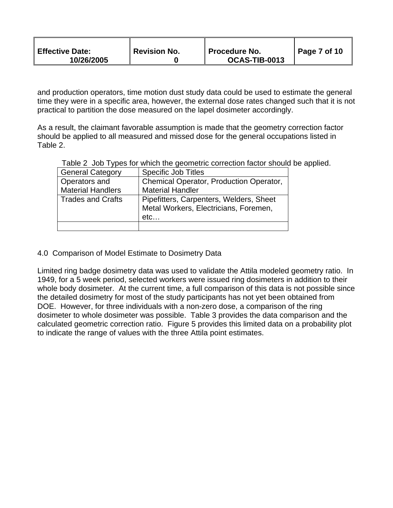| <sup>"</sup> Revision No.<br><b>Effective Date:</b><br>10/26/2005 | ∥ Procedure No.<br>OCAS-TIB-0013 | Page 7 of 10 |
|-------------------------------------------------------------------|----------------------------------|--------------|
|-------------------------------------------------------------------|----------------------------------|--------------|

and production operators, time motion dust study data could be used to estimate the general time they were in a specific area, however, the external dose rates changed such that it is not practical to partition the dose measured on the lapel dosimeter accordingly.

As a result, the claimant favorable assumption is made that the geometry correction factor should be applied to all measured and missed dose for the general occupations listed in Table 2.

Table 2 Job Types for which the geometric correction factor should be applied.

| <b>General Category</b>  | <b>Specific Job Titles</b>              |
|--------------------------|-----------------------------------------|
| Operators and            | Chemical Operator, Production Operator, |
| <b>Material Handlers</b> | <b>Material Handler</b>                 |
| <b>Trades and Crafts</b> | Pipefitters, Carpenters, Welders, Sheet |
|                          | Metal Workers, Electricians, Foremen,   |
|                          | etc                                     |
|                          |                                         |

4.0 Comparison of Model Estimate to Dosimetry Data

Limited ring badge dosimetry data was used to validate the Attila modeled geometry ratio. In 1949, for a 5 week period, selected workers were issued ring dosimeters in addition to their whole body dosimeter. At the current time, a full comparison of this data is not possible since the detailed dosimetry for most of the study participants has not yet been obtained from DOE. However, for three individuals with a non-zero dose, a comparison of the ring dosimeter to whole dosimeter was possible. Table 3 provides the data comparison and the calculated geometric correction ratio. Figure 5 provides this limited data on a probability plot to indicate the range of values with the three Attila point estimates.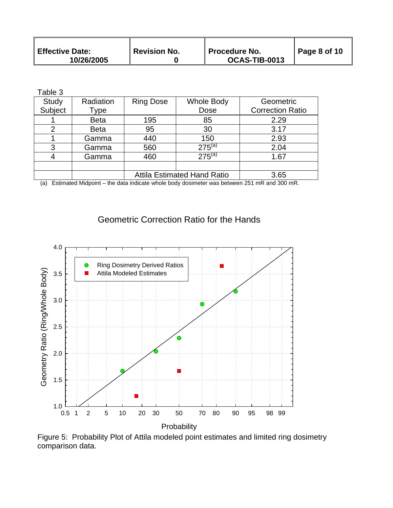| <b>Effective Date:</b> | $\,$ Revision No. | Procedure No. | $\vert$ Page 8 of 10 |
|------------------------|-------------------|---------------|----------------------|
| 10/26/2005             |                   | OCAS-TIB-0013 |                      |

| able |  |  |
|------|--|--|
|------|--|--|

| Study   | Radiation   | <b>Ring Dose</b>                   | <b>Whole Body</b> | Geometric               |
|---------|-------------|------------------------------------|-------------------|-------------------------|
| Subject | Type        |                                    | Dose              | <b>Correction Ratio</b> |
|         | <b>Beta</b> | 195                                | 85                | 2.29                    |
| 2       | <b>Beta</b> | 95                                 | 30                | 3.17                    |
|         | Gamma       | 440                                | 150               | 2.93                    |
| 3       | Gamma       | 560                                | $275^{(a)}$       | 2.04                    |
|         | Gamma       | 460                                | $275^{(a)}$       | 1.67                    |
|         |             |                                    |                   |                         |
|         |             | <b>Attila Estimated Hand Ratio</b> |                   | 3.65                    |

(a) Estimated Midpoint – the data indicate whole body dosimeter was between 251 mR and 300 mR.

# Geometric Correction Ratio for the Hands



Figure 5: Probability Plot of Attila modeled point estimates and limited ring dosimetry comparison data.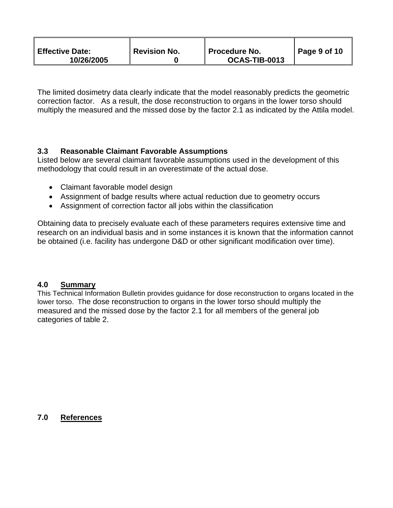| <b>Effective Date:</b><br>10/26/2005 | <b>Revision No.</b> | ∥ Procedure No.<br>OCAS-TIB-0013 | Page 9 of 10 |
|--------------------------------------|---------------------|----------------------------------|--------------|
|--------------------------------------|---------------------|----------------------------------|--------------|

The limited dosimetry data clearly indicate that the model reasonably predicts the geometric correction factor. As a result, the dose reconstruction to organs in the lower torso should multiply the measured and the missed dose by the factor 2.1 as indicated by the Attila model.

### **3.3 Reasonable Claimant Favorable Assumptions**

Listed below are several claimant favorable assumptions used in the development of this methodology that could result in an overestimate of the actual dose.

- Claimant favorable model design
- Assignment of badge results where actual reduction due to geometry occurs
- Assignment of correction factor all jobs within the classification

Obtaining data to precisely evaluate each of these parameters requires extensive time and research on an individual basis and in some instances it is known that the information cannot be obtained (i.e. facility has undergone D&D or other significant modification over time).

#### **4.0 Summary**

This Technical Information Bulletin provides guidance for dose reconstruction to organs located in the lower torso. The dose reconstruction to organs in the lower torso should multiply the measured and the missed dose by the factor 2.1 for all members of the general job categories of table 2.

**7.0 References**